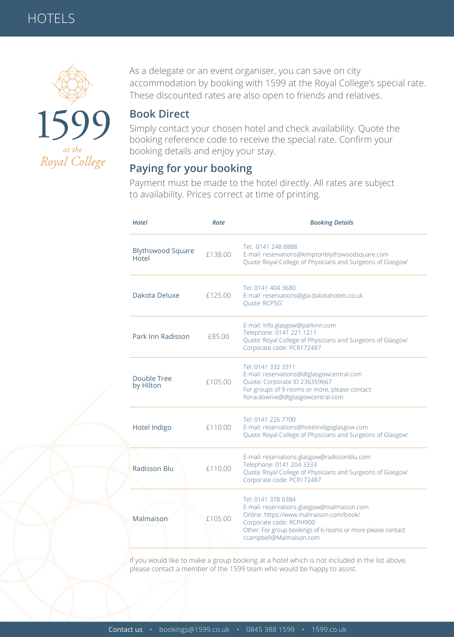

As a delegate or an event organiser, you can save on city accommodation by booking with 1599 at the Royal College's special rate. These discounted rates are also open to friends and relatives.

### **Book Direct**

Simply contact your chosen hotel and check availability. Quote the booking reference code to receive the special rate. Confirm your booking details and enjoy your stay.

## **Paying for your booking**

Payment must be made to the hotel directly. All rates are subject to availability. Prices correct at time of printing.

| <b>Hotel</b>                      | Rate    | <b>Booking Details</b>                                                                                                                                                                                                            |
|-----------------------------------|---------|-----------------------------------------------------------------------------------------------------------------------------------------------------------------------------------------------------------------------------------|
| <b>Blythswood Square</b><br>Hotel | £138.00 | Tel: 0141 248 8888<br>E-mail: reservations@kimptonblythswoodsquare.com<br>Quote 'Royal College of Physicians and Surgeons of Glasgow'                                                                                             |
| Dakota Deluxe                     | £125.00 | Tel: 0141 404 3680<br>E-mail: reservations@gla.dakotahotels.co.uk<br>Quote 'RCPSG'                                                                                                                                                |
| Park Inn Radisson                 | £85.00  | E-mail: info.glasgow@parkinn.com<br>Telephone: 0141 221 1211<br>Quote 'Royal College of Physicians and Surgeons of Glasgow'<br>Corporate code: PCR172487                                                                          |
| Double Tree<br>by Hilton          | £105.00 | Tel: 0141 332 3311<br>E-mail: reservations@dtglasgowcentral.com<br>Quote: Corporate ID 236359667<br>For groups of 9 rooms or more, please contact:<br>fiona.downie@dtglasgowcentral.com                                           |
| Hotel Indigo                      | £110.00 | Tel: 0141 226 7700<br>E-mail: reservations@hotelindigoglasgow.com<br>Quote 'Royal College of Physicians and Surgeons of Glasgow'                                                                                                  |
| <b>Radisson Blu</b>               | £110.00 | E-mail: reservations.glasgow@radissonblu.com<br>Telephone: 0141 204 3333<br>Quote 'Royal College of Physicians and Surgeons of Glasgow'<br>Corporate code: PCR172487                                                              |
| Malmaison                         | £105.00 | Tel: 0141 378 0384<br>E-mail: reservations.glasgow@malmaison.com<br>Online: https://www.malmaison.com/book/<br>Corporate code: RCPH900<br>Other: For group bookings of 6 rooms or more please contact:<br>ccampbell@Malmaison.com |

If you would like to make a group booking at a hotel which is not included in the list above, please contact a member of the 1599 team who would be happy to assist.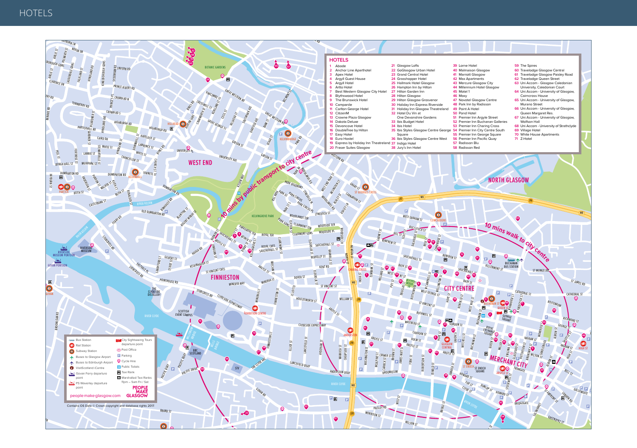